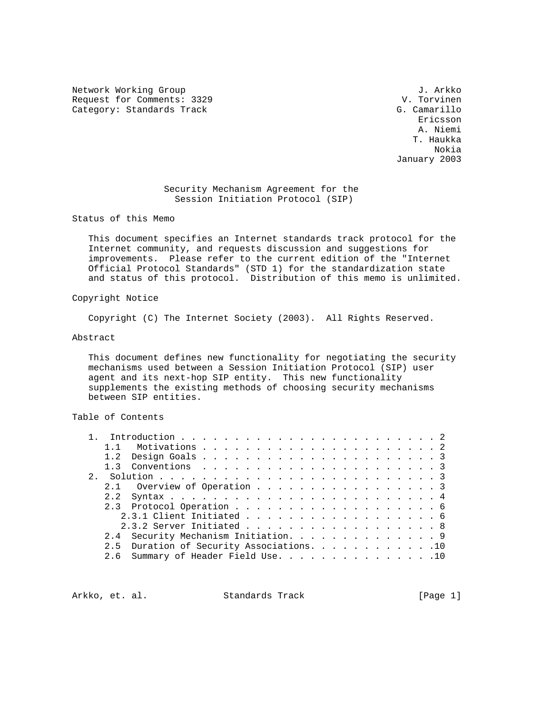Network Working Group and Section 1. Arkko J. Arkko J. Arkko J. Arkko J. Arkko J. Arkko J. Arkko J. Arkko J. Arkko J. Arkko J. Arkko J. Arkko J. Arkko J. Arkko J. Arkko J. Arkko J. Arkko J. Arkko J. Arkko J. Arkko J. Arkko Request for Comments: 3329 V. Torvinen<br>
Category: Standards Track Camerillo Category: Standards Track

eric and the contract of the contract of the contract of the contract of the contract of the contract of the contract of the contract of the contract of the contract of the contract of the contract of the contract of the c A. Niemi T. Haukka Nokia January 2003

# Security Mechanism Agreement for the Session Initiation Protocol (SIP)

Status of this Memo

 This document specifies an Internet standards track protocol for the Internet community, and requests discussion and suggestions for improvements. Please refer to the current edition of the "Internet Official Protocol Standards" (STD 1) for the standardization state and status of this protocol. Distribution of this memo is unlimited.

# Copyright Notice

Copyright (C) The Internet Society (2003). All Rights Reserved.

# Abstract

 This document defines new functionality for negotiating the security mechanisms used between a Session Initiation Protocol (SIP) user agent and its next-hop SIP entity. This new functionality supplements the existing methods of choosing security mechanisms between SIP entities.

Table of Contents

| 2.1 Overview of Operation 3               |  |  |  |  |  |  |  |  |  |  |  |
|-------------------------------------------|--|--|--|--|--|--|--|--|--|--|--|
|                                           |  |  |  |  |  |  |  |  |  |  |  |
| 2.3 Protocol Operation 6                  |  |  |  |  |  |  |  |  |  |  |  |
| 2.3.1 Client Initiated 6                  |  |  |  |  |  |  |  |  |  |  |  |
| 2.3.2 Server Initiated 8                  |  |  |  |  |  |  |  |  |  |  |  |
| 2.4 Security Mechanism Initiation. 9      |  |  |  |  |  |  |  |  |  |  |  |
| 2.5 Duration of Security Associations. 10 |  |  |  |  |  |  |  |  |  |  |  |
| 2.6 Summary of Header Field Use. 10       |  |  |  |  |  |  |  |  |  |  |  |

Arkko, et. al. Standards Track [Page 1]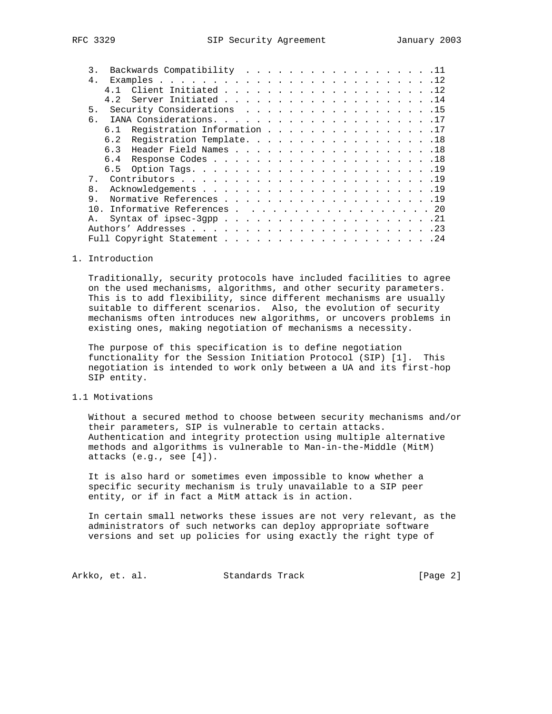| $\overline{3}$ . | Backwards Compatibility 11         |
|------------------|------------------------------------|
|                  |                                    |
|                  |                                    |
|                  | Server Initiated 14<br>4 2         |
| 5.               | Security Considerations 15         |
| რ.               |                                    |
|                  | Registration Information 17<br>6.1 |
|                  | Registration Template. 18<br>6.2   |
|                  | 6.3<br>Header Field Names 18       |
|                  |                                    |
|                  |                                    |
|                  |                                    |
| 8.               |                                    |
| 9.               |                                    |
|                  | 10. Informative References 20      |
| Ά.               |                                    |
|                  |                                    |
|                  |                                    |

#### 1. Introduction

 Traditionally, security protocols have included facilities to agree on the used mechanisms, algorithms, and other security parameters. This is to add flexibility, since different mechanisms are usually suitable to different scenarios. Also, the evolution of security mechanisms often introduces new algorithms, or uncovers problems in existing ones, making negotiation of mechanisms a necessity.

 The purpose of this specification is to define negotiation functionality for the Session Initiation Protocol (SIP) [1]. This negotiation is intended to work only between a UA and its first-hop SIP entity.

# 1.1 Motivations

 Without a secured method to choose between security mechanisms and/or their parameters, SIP is vulnerable to certain attacks. Authentication and integrity protection using multiple alternative methods and algorithms is vulnerable to Man-in-the-Middle (MitM) attacks (e.g., see [4]).

 It is also hard or sometimes even impossible to know whether a specific security mechanism is truly unavailable to a SIP peer entity, or if in fact a MitM attack is in action.

 In certain small networks these issues are not very relevant, as the administrators of such networks can deploy appropriate software versions and set up policies for using exactly the right type of

Arkko, et. al. Standards Track [Page 2]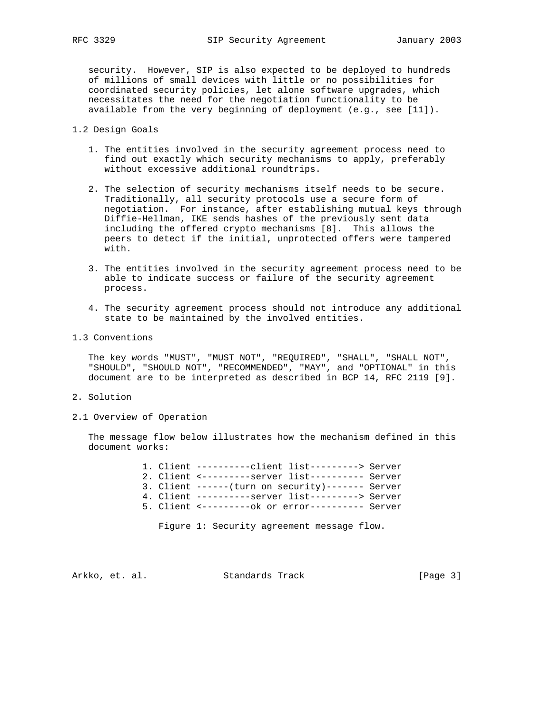security. However, SIP is also expected to be deployed to hundreds of millions of small devices with little or no possibilities for coordinated security policies, let alone software upgrades, which necessitates the need for the negotiation functionality to be available from the very beginning of deployment (e.g., see [11]).

- 1.2 Design Goals
	- 1. The entities involved in the security agreement process need to find out exactly which security mechanisms to apply, preferably without excessive additional roundtrips.
	- 2. The selection of security mechanisms itself needs to be secure. Traditionally, all security protocols use a secure form of negotiation. For instance, after establishing mutual keys through Diffie-Hellman, IKE sends hashes of the previously sent data including the offered crypto mechanisms [8]. This allows the peers to detect if the initial, unprotected offers were tampered with.
	- 3. The entities involved in the security agreement process need to be able to indicate success or failure of the security agreement process.
	- 4. The security agreement process should not introduce any additional state to be maintained by the involved entities.
- 1.3 Conventions

 The key words "MUST", "MUST NOT", "REQUIRED", "SHALL", "SHALL NOT", "SHOULD", "SHOULD NOT", "RECOMMENDED", "MAY", and "OPTIONAL" in this document are to be interpreted as described in BCP 14, RFC 2119 [9].

- 2. Solution
- 2.1 Overview of Operation

 The message flow below illustrates how the mechanism defined in this document works:

| 1. Client ----------client list---------> Server  |  |
|---------------------------------------------------|--|
| 2. Client <---------server list---------- Server  |  |
| 3. Client ------(turn on security)------- Server  |  |
| 4. Client ----------server list---------> Server  |  |
| 5. Client <----------ok or error---------- Server |  |

Figure 1: Security agreement message flow.

| Arkko, et. al.<br>Standards Track | [Page $3$ ] |
|-----------------------------------|-------------|
|-----------------------------------|-------------|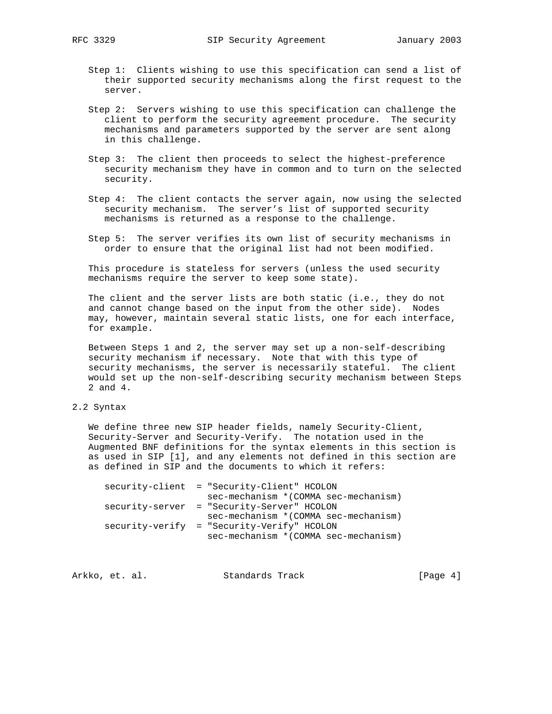- Step 1: Clients wishing to use this specification can send a list of their supported security mechanisms along the first request to the server.
- Step 2: Servers wishing to use this specification can challenge the client to perform the security agreement procedure. The security mechanisms and parameters supported by the server are sent along in this challenge.
- Step 3: The client then proceeds to select the highest-preference security mechanism they have in common and to turn on the selected security.
- Step 4: The client contacts the server again, now using the selected security mechanism. The server's list of supported security mechanisms is returned as a response to the challenge.
- Step 5: The server verifies its own list of security mechanisms in order to ensure that the original list had not been modified.

 This procedure is stateless for servers (unless the used security mechanisms require the server to keep some state).

The client and the server lists are both static (i.e., they do not and cannot change based on the input from the other side). Nodes may, however, maintain several static lists, one for each interface, for example.

 Between Steps 1 and 2, the server may set up a non-self-describing security mechanism if necessary. Note that with this type of security mechanisms, the server is necessarily stateful. The client would set up the non-self-describing security mechanism between Steps 2 and 4.

# 2.2 Syntax

 We define three new SIP header fields, namely Security-Client, Security-Server and Security-Verify. The notation used in the Augmented BNF definitions for the syntax elements in this section is as used in SIP [1], and any elements not defined in this section are as defined in SIP and the documents to which it refers:

| security-client = "Security-Client" HCOLON |
|--------------------------------------------|
| sec-mechanism * (COMMA sec-mechanism)      |
| security-server = "Security-Server" HCOLON |
| sec-mechanism * (COMMA sec-mechanism)      |
| security-verify = "Security-Verify" HCOLON |
| sec-mechanism * (COMMA sec-mechanism)      |

Arkko, et. al. Standards Track [Page 4]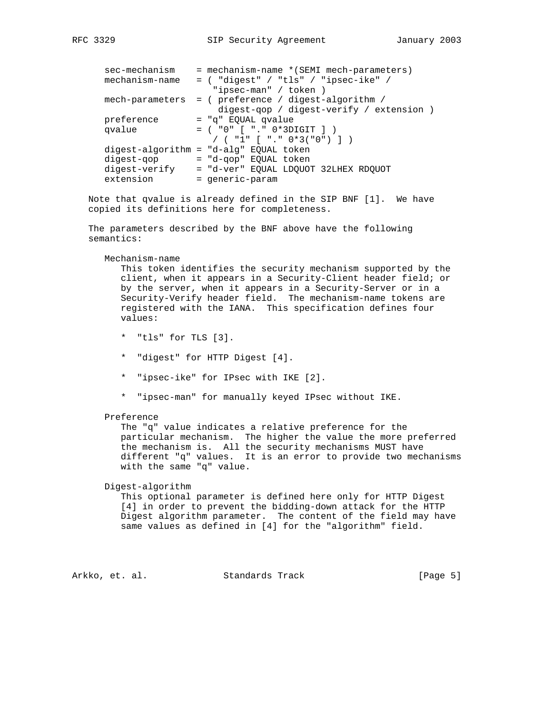| sec-mechanism<br>mechanism-name | = mechanism-name * (SEMI mech-parameters)<br>$=$ ( "digest" / "tls" / "ipsec-ike" / |
|---------------------------------|-------------------------------------------------------------------------------------|
|                                 | "ipsec-man" / token )                                                               |
| mech-parameters                 | = ( preference / digest-algorithm /                                                 |
|                                 | digest-qop / digest-verify / extension )                                            |
| preference                      | = "q" EOUAL qvalue                                                                  |
| qvalue                          | $=$ ( "0" [ "." 0*3DIGIT ] )                                                        |
|                                 | / $( "1" [ "." 0*3("0") ] )$                                                        |
|                                 | $digest-alqorithm = "d-alq" EQUAL token$                                            |
| digest-gop                      | = "d-gop" EOUAL token                                                               |
| digest-verify                   | = "d-ver" EQUAL LDQUOT 32LHEX RDQUOT                                                |
| extension                       | = generic-param                                                                     |
|                                 |                                                                                     |

 Note that qvalue is already defined in the SIP BNF [1]. We have copied its definitions here for completeness.

 The parameters described by the BNF above have the following semantics:

Mechanism-name

 This token identifies the security mechanism supported by the client, when it appears in a Security-Client header field; or by the server, when it appears in a Security-Server or in a Security-Verify header field. The mechanism-name tokens are registered with the IANA. This specification defines four values:

- \* "tls" for TLS [3].
- \* "digest" for HTTP Digest [4].
- \* "ipsec-ike" for IPsec with IKE [2].
- \* "ipsec-man" for manually keyed IPsec without IKE.

Preference

 The "q" value indicates a relative preference for the particular mechanism. The higher the value the more preferred the mechanism is. All the security mechanisms MUST have different "q" values. It is an error to provide two mechanisms with the same "q" value.

Digest-algorithm

 This optional parameter is defined here only for HTTP Digest [4] in order to prevent the bidding-down attack for the HTTP Digest algorithm parameter. The content of the field may have same values as defined in [4] for the "algorithm" field.

Arkko, et. al. Standards Track [Page 5]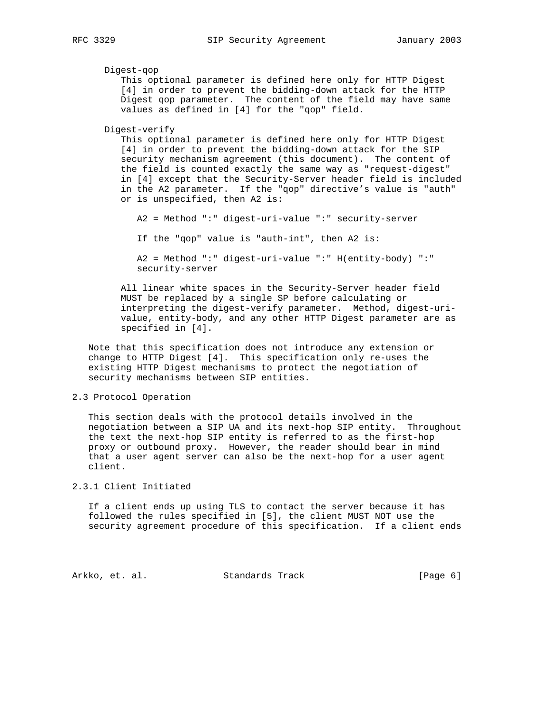Digest-qop This optional parameter is defined here only for HTTP Digest [4] in order to prevent the bidding-down attack for the HTTP Digest qop parameter. The content of the field may have same values as defined in [4] for the "qop" field. Digest-verify

 This optional parameter is defined here only for HTTP Digest [4] in order to prevent the bidding-down attack for the SIP security mechanism agreement (this document). The content of the field is counted exactly the same way as "request-digest" in [4] except that the Security-Server header field is included in the A2 parameter. If the "qop" directive's value is "auth" or is unspecified, then A2 is:

A2 = Method ":" digest-uri-value ":" security-server

If the "qop" value is "auth-int", then A2 is:

 A2 = Method ":" digest-uri-value ":" H(entity-body) ":" security-server

 All linear white spaces in the Security-Server header field MUST be replaced by a single SP before calculating or interpreting the digest-verify parameter. Method, digest-uri value, entity-body, and any other HTTP Digest parameter are as specified in [4].

 Note that this specification does not introduce any extension or change to HTTP Digest [4]. This specification only re-uses the existing HTTP Digest mechanisms to protect the negotiation of security mechanisms between SIP entities.

# 2.3 Protocol Operation

 This section deals with the protocol details involved in the negotiation between a SIP UA and its next-hop SIP entity. Throughout the text the next-hop SIP entity is referred to as the first-hop proxy or outbound proxy. However, the reader should bear in mind that a user agent server can also be the next-hop for a user agent client.

# 2.3.1 Client Initiated

 If a client ends up using TLS to contact the server because it has followed the rules specified in [5], the client MUST NOT use the security agreement procedure of this specification. If a client ends

Arkko, et. al. Standards Track [Page 6]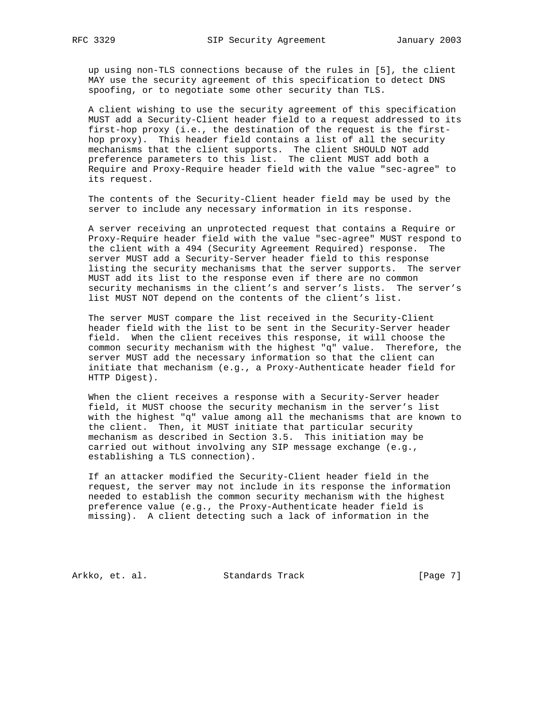up using non-TLS connections because of the rules in [5], the client MAY use the security agreement of this specification to detect DNS spoofing, or to negotiate some other security than TLS.

 A client wishing to use the security agreement of this specification MUST add a Security-Client header field to a request addressed to its first-hop proxy (i.e., the destination of the request is the first hop proxy). This header field contains a list of all the security mechanisms that the client supports. The client SHOULD NOT add preference parameters to this list. The client MUST add both a Require and Proxy-Require header field with the value "sec-agree" to its request.

 The contents of the Security-Client header field may be used by the server to include any necessary information in its response.

 A server receiving an unprotected request that contains a Require or Proxy-Require header field with the value "sec-agree" MUST respond to the client with a 494 (Security Agreement Required) response. The server MUST add a Security-Server header field to this response listing the security mechanisms that the server supports. The server MUST add its list to the response even if there are no common security mechanisms in the client's and server's lists. The server's list MUST NOT depend on the contents of the client's list.

 The server MUST compare the list received in the Security-Client header field with the list to be sent in the Security-Server header field. When the client receives this response, it will choose the common security mechanism with the highest "q" value. Therefore, the server MUST add the necessary information so that the client can initiate that mechanism (e.g., a Proxy-Authenticate header field for HTTP Digest).

 When the client receives a response with a Security-Server header field, it MUST choose the security mechanism in the server's list with the highest "q" value among all the mechanisms that are known to the client. Then, it MUST initiate that particular security mechanism as described in Section 3.5. This initiation may be carried out without involving any SIP message exchange (e.g., establishing a TLS connection).

 If an attacker modified the Security-Client header field in the request, the server may not include in its response the information needed to establish the common security mechanism with the highest preference value (e.g., the Proxy-Authenticate header field is missing). A client detecting such a lack of information in the

Arkko, et. al. Standards Track [Page 7]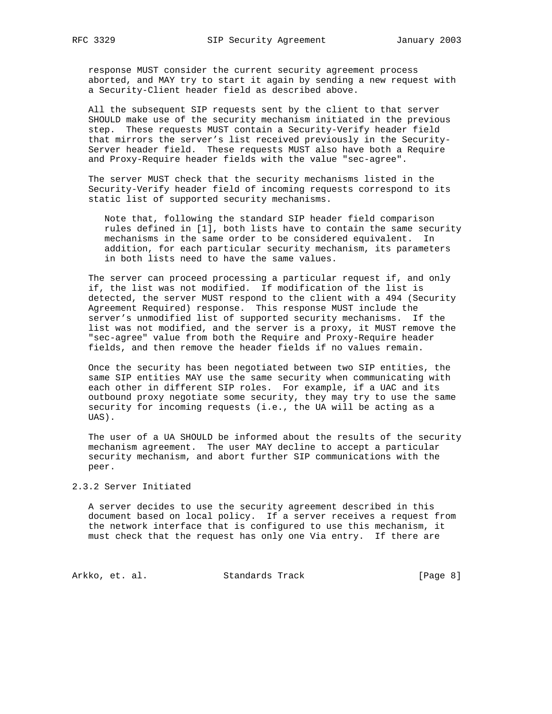response MUST consider the current security agreement process aborted, and MAY try to start it again by sending a new request with a Security-Client header field as described above.

 All the subsequent SIP requests sent by the client to that server SHOULD make use of the security mechanism initiated in the previous step. These requests MUST contain a Security-Verify header field that mirrors the server's list received previously in the Security- Server header field. These requests MUST also have both a Require and Proxy-Require header fields with the value "sec-agree".

 The server MUST check that the security mechanisms listed in the Security-Verify header field of incoming requests correspond to its static list of supported security mechanisms.

 Note that, following the standard SIP header field comparison rules defined in [1], both lists have to contain the same security mechanisms in the same order to be considered equivalent. In addition, for each particular security mechanism, its parameters in both lists need to have the same values.

 The server can proceed processing a particular request if, and only if, the list was not modified. If modification of the list is detected, the server MUST respond to the client with a 494 (Security Agreement Required) response. This response MUST include the server's unmodified list of supported security mechanisms. If the list was not modified, and the server is a proxy, it MUST remove the "sec-agree" value from both the Require and Proxy-Require header fields, and then remove the header fields if no values remain.

 Once the security has been negotiated between two SIP entities, the same SIP entities MAY use the same security when communicating with each other in different SIP roles. For example, if a UAC and its outbound proxy negotiate some security, they may try to use the same security for incoming requests (i.e., the UA will be acting as a UAS).

 The user of a UA SHOULD be informed about the results of the security mechanism agreement. The user MAY decline to accept a particular security mechanism, and abort further SIP communications with the peer.

# 2.3.2 Server Initiated

 A server decides to use the security agreement described in this document based on local policy. If a server receives a request from the network interface that is configured to use this mechanism, it must check that the request has only one Via entry. If there are

Arkko, et. al. Standards Track [Page 8]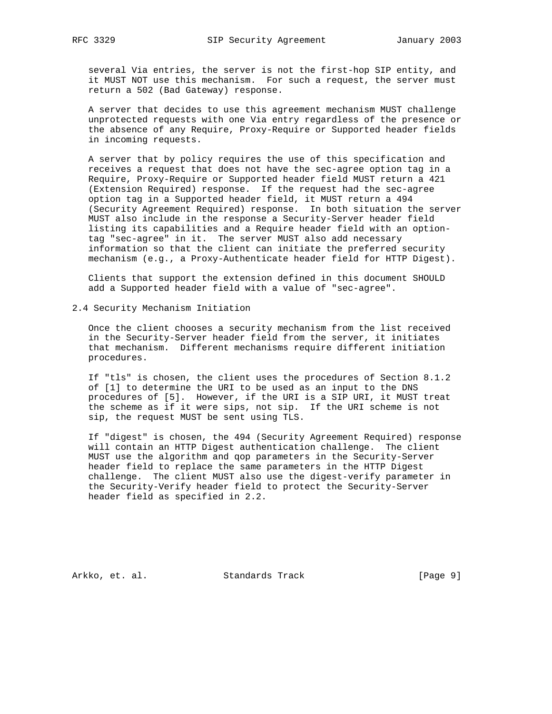several Via entries, the server is not the first-hop SIP entity, and it MUST NOT use this mechanism. For such a request, the server must return a 502 (Bad Gateway) response.

 A server that decides to use this agreement mechanism MUST challenge unprotected requests with one Via entry regardless of the presence or the absence of any Require, Proxy-Require or Supported header fields in incoming requests.

 A server that by policy requires the use of this specification and receives a request that does not have the sec-agree option tag in a Require, Proxy-Require or Supported header field MUST return a 421 (Extension Required) response. If the request had the sec-agree option tag in a Supported header field, it MUST return a 494 (Security Agreement Required) response. In both situation the server MUST also include in the response a Security-Server header field listing its capabilities and a Require header field with an option tag "sec-agree" in it. The server MUST also add necessary information so that the client can initiate the preferred security mechanism (e.g., a Proxy-Authenticate header field for HTTP Digest).

 Clients that support the extension defined in this document SHOULD add a Supported header field with a value of "sec-agree".

2.4 Security Mechanism Initiation

 Once the client chooses a security mechanism from the list received in the Security-Server header field from the server, it initiates that mechanism. Different mechanisms require different initiation procedures.

 If "tls" is chosen, the client uses the procedures of Section 8.1.2 of [1] to determine the URI to be used as an input to the DNS procedures of [5]. However, if the URI is a SIP URI, it MUST treat the scheme as if it were sips, not sip. If the URI scheme is not sip, the request MUST be sent using TLS.

 If "digest" is chosen, the 494 (Security Agreement Required) response will contain an HTTP Digest authentication challenge. The client MUST use the algorithm and qop parameters in the Security-Server header field to replace the same parameters in the HTTP Digest challenge. The client MUST also use the digest-verify parameter in the Security-Verify header field to protect the Security-Server header field as specified in 2.2.

Arkko, et. al. Standards Track [Page 9]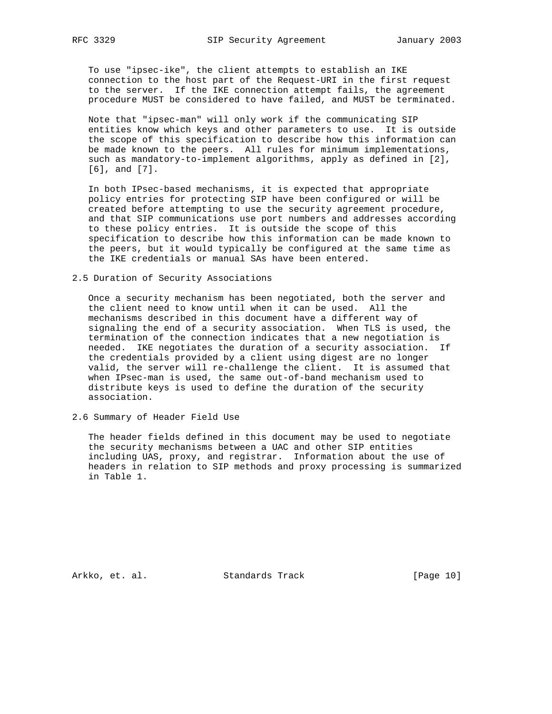To use "ipsec-ike", the client attempts to establish an IKE connection to the host part of the Request-URI in the first request to the server. If the IKE connection attempt fails, the agreement procedure MUST be considered to have failed, and MUST be terminated.

 Note that "ipsec-man" will only work if the communicating SIP entities know which keys and other parameters to use. It is outside the scope of this specification to describe how this information can be made known to the peers. All rules for minimum implementations, such as mandatory-to-implement algorithms, apply as defined in [2], [6], and [7].

 In both IPsec-based mechanisms, it is expected that appropriate policy entries for protecting SIP have been configured or will be created before attempting to use the security agreement procedure, and that SIP communications use port numbers and addresses according to these policy entries. It is outside the scope of this specification to describe how this information can be made known to the peers, but it would typically be configured at the same time as the IKE credentials or manual SAs have been entered.

2.5 Duration of Security Associations

 Once a security mechanism has been negotiated, both the server and the client need to know until when it can be used. All the mechanisms described in this document have a different way of signaling the end of a security association. When TLS is used, the termination of the connection indicates that a new negotiation is needed. IKE negotiates the duration of a security association. If the credentials provided by a client using digest are no longer valid, the server will re-challenge the client. It is assumed that when IPsec-man is used, the same out-of-band mechanism used to distribute keys is used to define the duration of the security association.

2.6 Summary of Header Field Use

 The header fields defined in this document may be used to negotiate the security mechanisms between a UAC and other SIP entities including UAS, proxy, and registrar. Information about the use of headers in relation to SIP methods and proxy processing is summarized in Table 1.

Arkko, et. al. Standards Track [Page 10]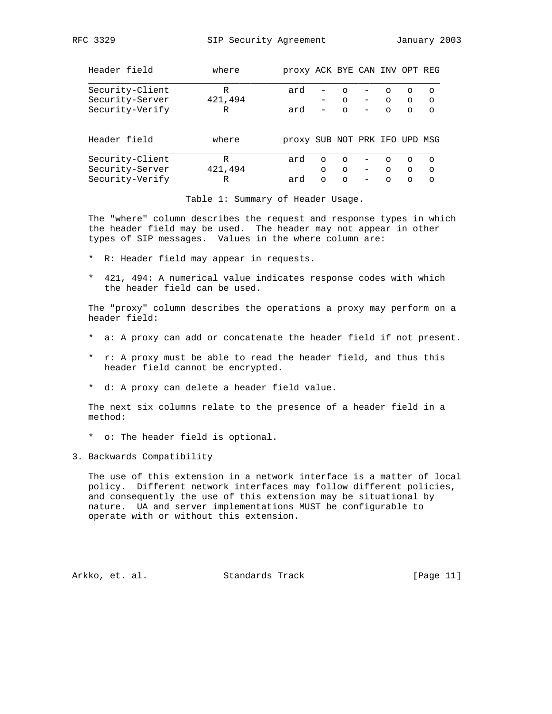| Header field    | where   | proxy ACK BYE CAN INV OPT REG |          |          |                         |         |         |         |
|-----------------|---------|-------------------------------|----------|----------|-------------------------|---------|---------|---------|
| Security-Client | R       | ard                           |          | $\circ$  |                         | $\circ$ | $\circ$ | $\circ$ |
| Security-Server | 421,494 |                               |          | $\circ$  |                         | $\circ$ | $\circ$ | $\circ$ |
| Security-Verify | R       | ard                           |          | $\Omega$ |                         | $\circ$ | $\circ$ | $\circ$ |
| Header field    | where   | proxy                         |          |          | SUB NOT PRK IFO UPD MSG |         |         |         |
| Security-Client | R       | ard                           | $\Omega$ | $\circ$  |                         | $\circ$ | $\circ$ | ∩       |
| Security-Server | 421,494 |                               | $\circ$  | $\circ$  |                         | $\circ$ | $\circ$ | $\circ$ |
| Security-Verify | R       | ard                           | $\Omega$ | $\circ$  |                         | $\circ$ | $\circ$ | $\circ$ |

Table 1: Summary of Header Usage.

 The "where" column describes the request and response types in which the header field may be used. The header may not appear in other types of SIP messages. Values in the where column are:

- \* R: Header field may appear in requests.
- \* 421, 494: A numerical value indicates response codes with which the header field can be used.

 The "proxy" column describes the operations a proxy may perform on a header field:

- \* a: A proxy can add or concatenate the header field if not present.
- \* r: A proxy must be able to read the header field, and thus this header field cannot be encrypted.
- \* d: A proxy can delete a header field value.

 The next six columns relate to the presence of a header field in a method:

- \* o: The header field is optional.
- 3. Backwards Compatibility

 The use of this extension in a network interface is a matter of local policy. Different network interfaces may follow different policies, and consequently the use of this extension may be situational by nature. UA and server implementations MUST be configurable to operate with or without this extension.

Arkko, et. al. Standards Track [Page 11]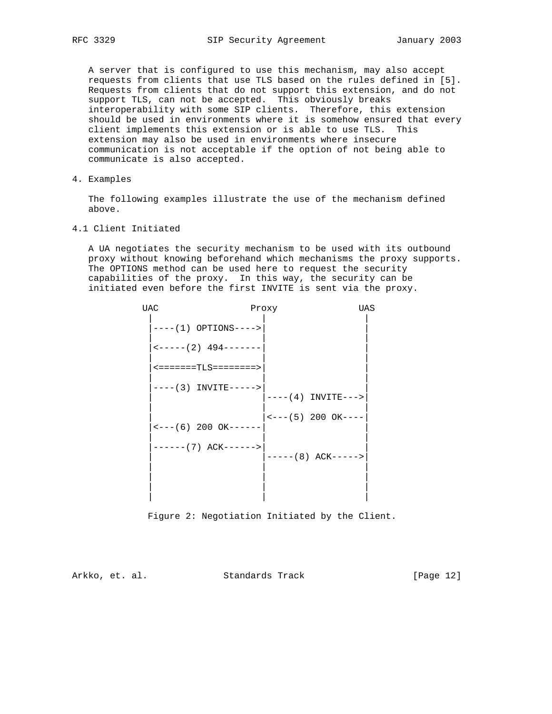A server that is configured to use this mechanism, may also accept requests from clients that use TLS based on the rules defined in [5]. Requests from clients that do not support this extension, and do not support TLS, can not be accepted. This obviously breaks interoperability with some SIP clients. Therefore, this extension should be used in environments where it is somehow ensured that every client implements this extension or is able to use TLS. This extension may also be used in environments where insecure communication is not acceptable if the option of not being able to communicate is also accepted.

4. Examples

 The following examples illustrate the use of the mechanism defined above.

4.1 Client Initiated

 A UA negotiates the security mechanism to be used with its outbound proxy without knowing beforehand which mechanisms the proxy supports. The OPTIONS method can be used here to request the security capabilities of the proxy. In this way, the security can be initiated even before the first INVITE is sent via the proxy.

| UAC                                          | Proxy                      | UAS |
|----------------------------------------------|----------------------------|-----|
| $---(1) OPTIONS---$                          |                            |     |
| $\leftarrow$ - - - - - (2) 494 - - - - - - - |                            |     |
| <=======TLS========>                         |                            |     |
| $---(3)$ INVITE----->                        | ----(4) INVITE--->         |     |
| $\leftarrow$ - - - (6) 200 OK - - - - - -    | $\vert$ <---(5) 200 OK---- |     |
| $----(7)$ ACK------>                         | $---(8)$ ACK----->         |     |
|                                              |                            |     |
|                                              |                            |     |

Figure 2: Negotiation Initiated by the Client.

Arkko, et. al. Standards Track [Page 12]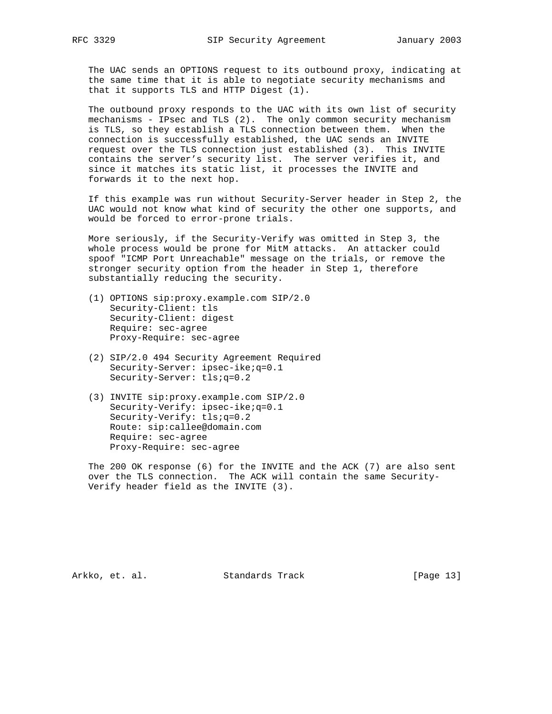The UAC sends an OPTIONS request to its outbound proxy, indicating at the same time that it is able to negotiate security mechanisms and that it supports TLS and HTTP Digest (1).

 The outbound proxy responds to the UAC with its own list of security mechanisms - IPsec and TLS (2). The only common security mechanism is TLS, so they establish a TLS connection between them. When the connection is successfully established, the UAC sends an INVITE request over the TLS connection just established (3). This INVITE contains the server's security list. The server verifies it, and since it matches its static list, it processes the INVITE and forwards it to the next hop.

 If this example was run without Security-Server header in Step 2, the UAC would not know what kind of security the other one supports, and would be forced to error-prone trials.

 More seriously, if the Security-Verify was omitted in Step 3, the whole process would be prone for MitM attacks. An attacker could spoof "ICMP Port Unreachable" message on the trials, or remove the stronger security option from the header in Step 1, therefore substantially reducing the security.

- (1) OPTIONS sip:proxy.example.com SIP/2.0 Security-Client: tls Security-Client: digest Require: sec-agree Proxy-Require: sec-agree
- (2) SIP/2.0 494 Security Agreement Required Security-Server: ipsec-ike;q=0.1 Security-Server: tls;q=0.2
- (3) INVITE sip:proxy.example.com SIP/2.0 Security-Verify: ipsec-ike;q=0.1 Security-Verify: tls; q=0.2 Route: sip:callee@domain.com Require: sec-agree Proxy-Require: sec-agree

 The 200 OK response (6) for the INVITE and the ACK (7) are also sent over the TLS connection. The ACK will contain the same Security- Verify header field as the INVITE (3).

Arkko, et. al. Standards Track [Page 13]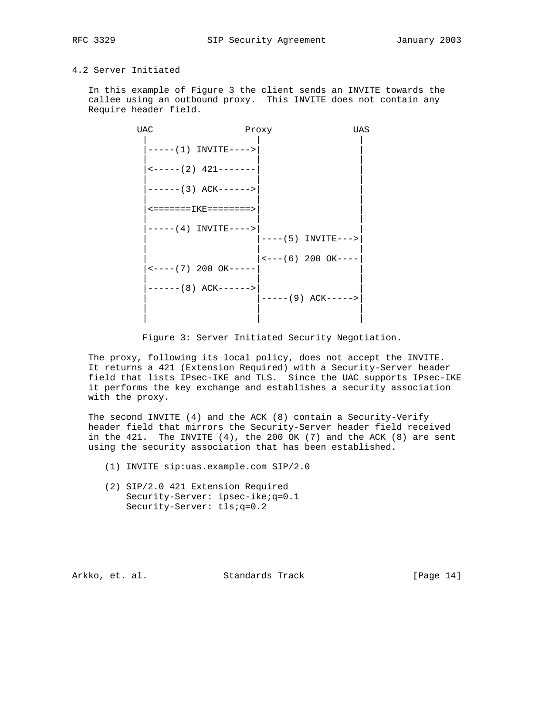# 4.2 Server Initiated

 In this example of Figure 3 the client sends an INVITE towards the callee using an outbound proxy. This INVITE does not contain any Require header field.

 UAC Proxy UAS | | |  $---(1)$  INVITE----> | | |  $\left| \left( \left| \left( 2 \right) \right| \right| \right|$  421------- | | | |------(3) ACK------>| | | | | |<=======IKE========>| | | | |  $|-----(4)$  INVITE----> | |----(5) INVITE--->| | | | | |<---(6) 200 OK----|  $|$  <----(7) 200 OK-----| | | |  $|-----(8)$  ACK------>| | |-----(9) ACK----->| | | | | | |

Figure 3: Server Initiated Security Negotiation.

 The proxy, following its local policy, does not accept the INVITE. It returns a 421 (Extension Required) with a Security-Server header field that lists IPsec-IKE and TLS. Since the UAC supports IPsec-IKE it performs the key exchange and establishes a security association with the proxy.

 The second INVITE (4) and the ACK (8) contain a Security-Verify header field that mirrors the Security-Server header field received in the  $421$ . The INVITE  $(4)$ , the 200 OK  $(7)$  and the ACK  $(8)$  are sent using the security association that has been established.

- (1) INVITE sip:uas.example.com SIP/2.0
- (2) SIP/2.0 421 Extension Required Security-Server: ipsec-ike;q=0.1 Security-Server: tls;q=0.2

Arkko, et. al. Standards Track [Page 14]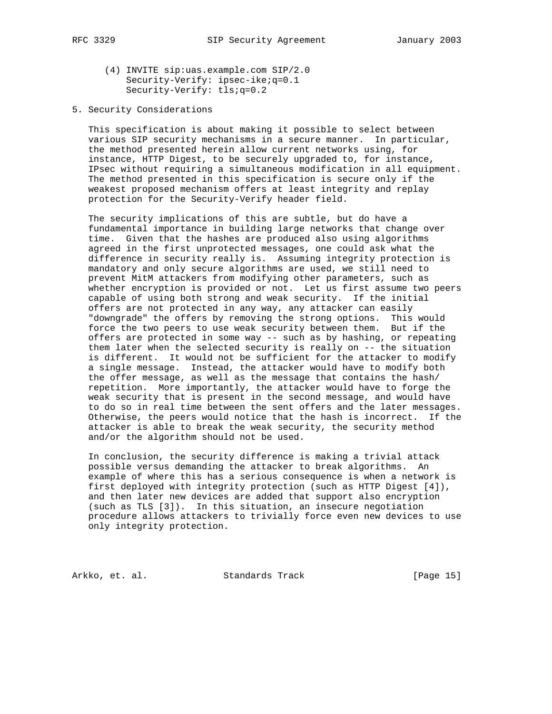- (4) INVITE sip:uas.example.com SIP/2.0 Security-Verify: ipsec-ike;q=0.1 Security-Verify: tls;q=0.2
- 5. Security Considerations

 This specification is about making it possible to select between various SIP security mechanisms in a secure manner. In particular, the method presented herein allow current networks using, for instance, HTTP Digest, to be securely upgraded to, for instance, IPsec without requiring a simultaneous modification in all equipment. The method presented in this specification is secure only if the weakest proposed mechanism offers at least integrity and replay protection for the Security-Verify header field.

 The security implications of this are subtle, but do have a fundamental importance in building large networks that change over time. Given that the hashes are produced also using algorithms agreed in the first unprotected messages, one could ask what the difference in security really is. Assuming integrity protection is mandatory and only secure algorithms are used, we still need to prevent MitM attackers from modifying other parameters, such as whether encryption is provided or not. Let us first assume two peers capable of using both strong and weak security. If the initial offers are not protected in any way, any attacker can easily "downgrade" the offers by removing the strong options. This would force the two peers to use weak security between them. But if the offers are protected in some way -- such as by hashing, or repeating them later when the selected security is really on -- the situation is different. It would not be sufficient for the attacker to modify a single message. Instead, the attacker would have to modify both the offer message, as well as the message that contains the hash/ repetition. More importantly, the attacker would have to forge the weak security that is present in the second message, and would have to do so in real time between the sent offers and the later messages. Otherwise, the peers would notice that the hash is incorrect. If the attacker is able to break the weak security, the security method and/or the algorithm should not be used.

 In conclusion, the security difference is making a trivial attack possible versus demanding the attacker to break algorithms. An example of where this has a serious consequence is when a network is first deployed with integrity protection (such as HTTP Digest [4]), and then later new devices are added that support also encryption (such as TLS [3]). In this situation, an insecure negotiation procedure allows attackers to trivially force even new devices to use only integrity protection.

Arkko, et. al. Standards Track [Page 15]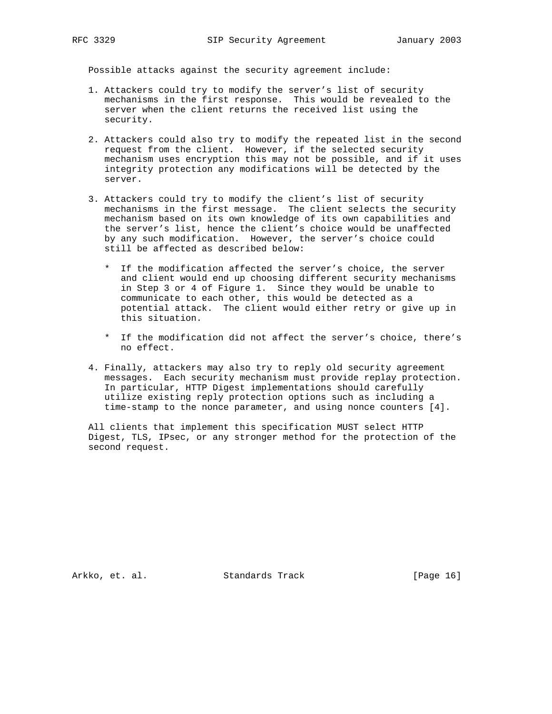Possible attacks against the security agreement include:

- 1. Attackers could try to modify the server's list of security mechanisms in the first response. This would be revealed to the server when the client returns the received list using the security.
- 2. Attackers could also try to modify the repeated list in the second request from the client. However, if the selected security mechanism uses encryption this may not be possible, and if it uses integrity protection any modifications will be detected by the server.
- 3. Attackers could try to modify the client's list of security mechanisms in the first message. The client selects the security mechanism based on its own knowledge of its own capabilities and the server's list, hence the client's choice would be unaffected by any such modification. However, the server's choice could still be affected as described below:
	- \* If the modification affected the server's choice, the server and client would end up choosing different security mechanisms in Step 3 or 4 of Figure 1. Since they would be unable to communicate to each other, this would be detected as a potential attack. The client would either retry or give up in this situation.
	- \* If the modification did not affect the server's choice, there's no effect.
- 4. Finally, attackers may also try to reply old security agreement messages. Each security mechanism must provide replay protection. In particular, HTTP Digest implementations should carefully utilize existing reply protection options such as including a time-stamp to the nonce parameter, and using nonce counters [4].

 All clients that implement this specification MUST select HTTP Digest, TLS, IPsec, or any stronger method for the protection of the second request.

Arkko, et. al. Standards Track [Page 16]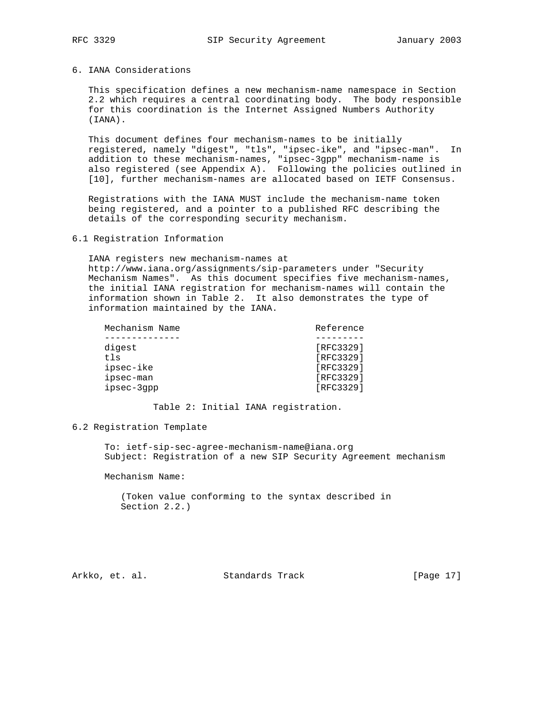### 6. IANA Considerations

 This specification defines a new mechanism-name namespace in Section 2.2 which requires a central coordinating body. The body responsible for this coordination is the Internet Assigned Numbers Authority (IANA).

 This document defines four mechanism-names to be initially registered, namely "digest", "tls", "ipsec-ike", and "ipsec-man". In addition to these mechanism-names, "ipsec-3gpp" mechanism-name is also registered (see Appendix A). Following the policies outlined in [10], further mechanism-names are allocated based on IETF Consensus.

 Registrations with the IANA MUST include the mechanism-name token being registered, and a pointer to a published RFC describing the details of the corresponding security mechanism.

# 6.1 Registration Information

 IANA registers new mechanism-names at http://www.iana.org/assignments/sip-parameters under "Security Mechanism Names". As this document specifies five mechanism-names, the initial IANA registration for mechanism-names will contain the information shown in Table 2. It also demonstrates the type of information maintained by the IANA.

| [RFC3329]<br>digest<br>[RFC3329]<br>$t \log$<br>[RFC3329]<br>ipsec-ike<br>[RFC3329]<br>ipsec-man<br>[RFC3329]<br>ipsec-3qpp | Mechanism Name | Reference |
|-----------------------------------------------------------------------------------------------------------------------------|----------------|-----------|
|                                                                                                                             |                |           |
|                                                                                                                             |                |           |
|                                                                                                                             |                |           |
|                                                                                                                             |                |           |
|                                                                                                                             |                |           |
|                                                                                                                             |                |           |

Table 2: Initial IANA registration.

6.2 Registration Template

 To: ietf-sip-sec-agree-mechanism-name@iana.org Subject: Registration of a new SIP Security Agreement mechanism

Mechanism Name:

 (Token value conforming to the syntax described in Section 2.2.)

Arkko, et. al. Standards Track [Page 17]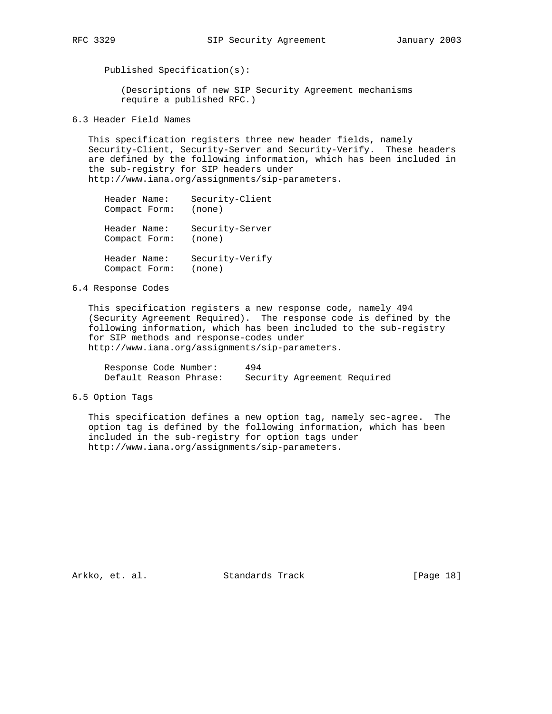Published Specification(s):

 (Descriptions of new SIP Security Agreement mechanisms require a published RFC.)

6.3 Header Field Names

 This specification registers three new header fields, namely Security-Client, Security-Server and Security-Verify. These headers are defined by the following information, which has been included in the sub-registry for SIP headers under http://www.iana.org/assignments/sip-parameters.

| Header Name:  | Security-Client |
|---------------|-----------------|
| Compact Form: | (none)          |
| Header Name:  | Security-Server |
| Compact Form: | (none)          |
| Header Name:  | Security-Verify |
| Compact Form: | (none)          |

6.4 Response Codes

 This specification registers a new response code, namely 494 (Security Agreement Required). The response code is defined by the following information, which has been included to the sub-registry for SIP methods and response-codes under http://www.iana.org/assignments/sip-parameters.

| Response Code Number:  | 494 |                             |  |
|------------------------|-----|-----------------------------|--|
| Default Reason Phrase: |     | Security Agreement Required |  |

6.5 Option Tags

 This specification defines a new option tag, namely sec-agree. The option tag is defined by the following information, which has been included in the sub-registry for option tags under http://www.iana.org/assignments/sip-parameters.

Arkko, et. al. Standards Track [Page 18]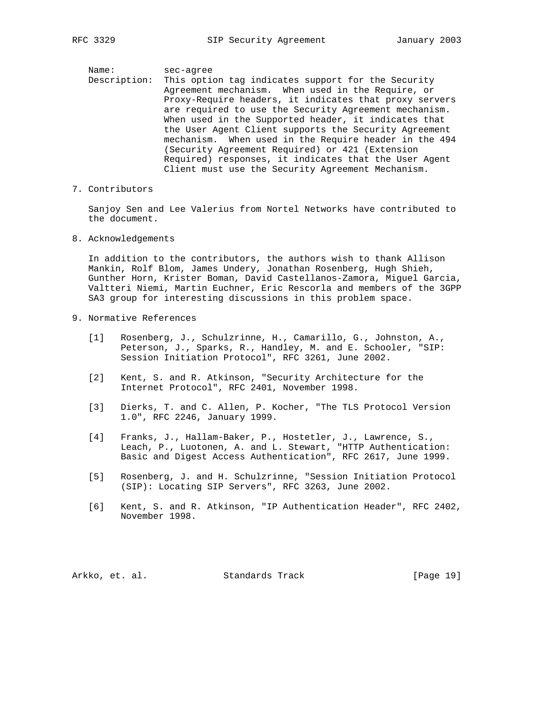Name: sec-agree Description: This option tag indicates support for the Security Agreement mechanism. When used in the Require, or Proxy-Require headers, it indicates that proxy servers are required to use the Security Agreement mechanism. When used in the Supported header, it indicates that the User Agent Client supports the Security Agreement mechanism. When used in the Require header in the 494 (Security Agreement Required) or 421 (Extension Required) responses, it indicates that the User Agent Client must use the Security Agreement Mechanism.

7. Contributors

 Sanjoy Sen and Lee Valerius from Nortel Networks have contributed to the document.

8. Acknowledgements

 In addition to the contributors, the authors wish to thank Allison Mankin, Rolf Blom, James Undery, Jonathan Rosenberg, Hugh Shieh, Gunther Horn, Krister Boman, David Castellanos-Zamora, Miguel Garcia, Valtteri Niemi, Martin Euchner, Eric Rescorla and members of the 3GPP SA3 group for interesting discussions in this problem space.

- 9. Normative References
	- [1] Rosenberg, J., Schulzrinne, H., Camarillo, G., Johnston, A., Peterson, J., Sparks, R., Handley, M. and E. Schooler, "SIP: Session Initiation Protocol", RFC 3261, June 2002.
	- [2] Kent, S. and R. Atkinson, "Security Architecture for the Internet Protocol", RFC 2401, November 1998.
	- [3] Dierks, T. and C. Allen, P. Kocher, "The TLS Protocol Version 1.0", RFC 2246, January 1999.
	- [4] Franks, J., Hallam-Baker, P., Hostetler, J., Lawrence, S., Leach, P., Luotonen, A. and L. Stewart, "HTTP Authentication: Basic and Digest Access Authentication", RFC 2617, June 1999.
	- [5] Rosenberg, J. and H. Schulzrinne, "Session Initiation Protocol (SIP): Locating SIP Servers", RFC 3263, June 2002.
	- [6] Kent, S. and R. Atkinson, "IP Authentication Header", RFC 2402, November 1998.

Arkko, et. al. Standards Track [Page 19]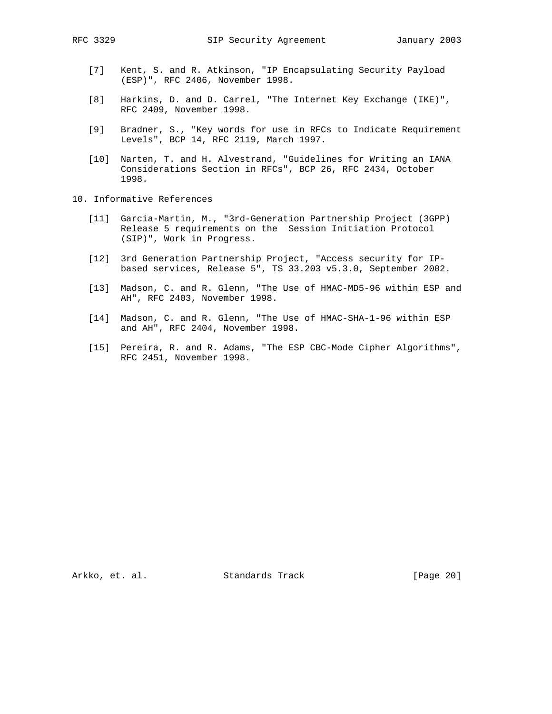- [7] Kent, S. and R. Atkinson, "IP Encapsulating Security Payload (ESP)", RFC 2406, November 1998.
- [8] Harkins, D. and D. Carrel, "The Internet Key Exchange (IKE)", RFC 2409, November 1998.
- [9] Bradner, S., "Key words for use in RFCs to Indicate Requirement Levels", BCP 14, RFC 2119, March 1997.
- [10] Narten, T. and H. Alvestrand, "Guidelines for Writing an IANA Considerations Section in RFCs", BCP 26, RFC 2434, October 1998.
- 10. Informative References
	- [11] Garcia-Martin, M., "3rd-Generation Partnership Project (3GPP) Release 5 requirements on the Session Initiation Protocol (SIP)", Work in Progress.
	- [12] 3rd Generation Partnership Project, "Access security for IP based services, Release 5", TS 33.203 v5.3.0, September 2002.
	- [13] Madson, C. and R. Glenn, "The Use of HMAC-MD5-96 within ESP and AH", RFC 2403, November 1998.
	- [14] Madson, C. and R. Glenn, "The Use of HMAC-SHA-1-96 within ESP and AH", RFC 2404, November 1998.
	- [15] Pereira, R. and R. Adams, "The ESP CBC-Mode Cipher Algorithms", RFC 2451, November 1998.

Arkko, et. al. Standards Track [Page 20]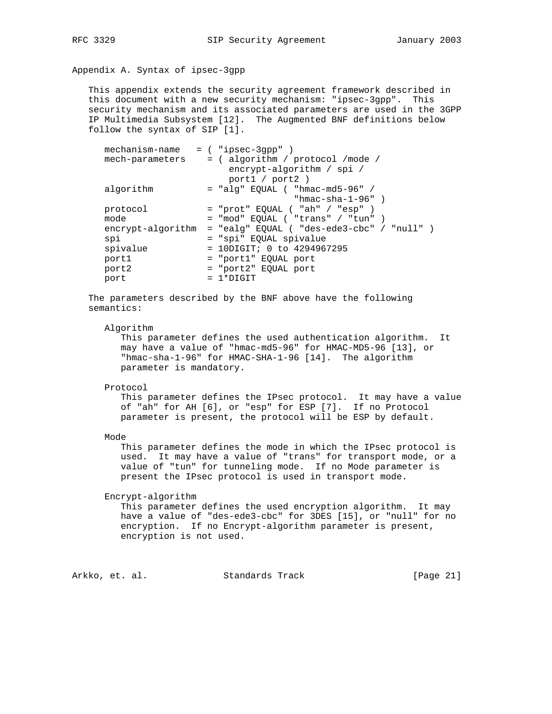# Appendix A. Syntax of ipsec-3gpp

 This appendix extends the security agreement framework described in this document with a new security mechanism: "ipsec-3gpp". This security mechanism and its associated parameters are used in the 3GPP IP Multimedia Subsystem [12]. The Augmented BNF definitions below follow the syntax of SIP [1].

| $mechanism-name = ( "ipsec-3app" )$ |                                              |
|-------------------------------------|----------------------------------------------|
| mech-parameters                     | $=$ ( algorithm / protocol /mode /           |
|                                     | encrypt-algorithm / spi /                    |
|                                     | port $1 /$ port $2$ )                        |
| algorithm                           | $=$ "alg" EQUAL ( "hmac-md5-96" /            |
|                                     | " $hmac - sha - 1 - 96"$ )                   |
| protocol                            | $=$ "prot" EOUAL ( "ah" / "esp" )            |
| mode                                | $=$ "mod" EQUAL ( "trans" / "tun" )          |
| encrypt-algorithm                   | $=$ "ealg" EQUAL ( "des-ede3-cbc" / "null" ) |
| spi                                 | = "spi" EQUAL spivalue                       |
| spivalue                            | $= 10$ DIGIT; 0 to 4294967295                |
| port1                               | = "port1" EOUAL port                         |
| port2                               | = "port2" EQUAL port                         |
| port                                | $= 1*DTGIT$                                  |
|                                     |                                              |

 The parameters described by the BNF above have the following semantics:

#### Algorithm

 This parameter defines the used authentication algorithm. It may have a value of "hmac-md5-96" for HMAC-MD5-96 [13], or "hmac-sha-1-96" for HMAC-SHA-1-96 [14]. The algorithm parameter is mandatory.

Protocol

 This parameter defines the IPsec protocol. It may have a value of "ah" for AH [6], or "esp" for ESP [7]. If no Protocol parameter is present, the protocol will be ESP by default.

#### Mode

 This parameter defines the mode in which the IPsec protocol is used. It may have a value of "trans" for transport mode, or a value of "tun" for tunneling mode. If no Mode parameter is present the IPsec protocol is used in transport mode.

Encrypt-algorithm

 This parameter defines the used encryption algorithm. It may have a value of "des-ede3-cbc" for 3DES [15], or "null" for no encryption. If no Encrypt-algorithm parameter is present, encryption is not used.

Arkko, et. al. Standards Track [Page 21]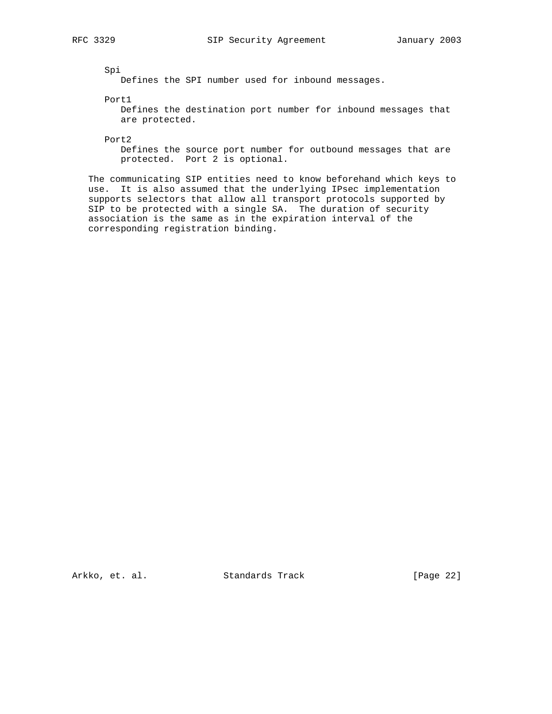Spi

Defines the SPI number used for inbound messages.

Port1

 Defines the destination port number for inbound messages that are protected.

Port2

 Defines the source port number for outbound messages that are protected. Port 2 is optional.

 The communicating SIP entities need to know beforehand which keys to use. It is also assumed that the underlying IPsec implementation supports selectors that allow all transport protocols supported by SIP to be protected with a single SA. The duration of security association is the same as in the expiration interval of the corresponding registration binding.

Arkko, et. al. Standards Track [Page 22]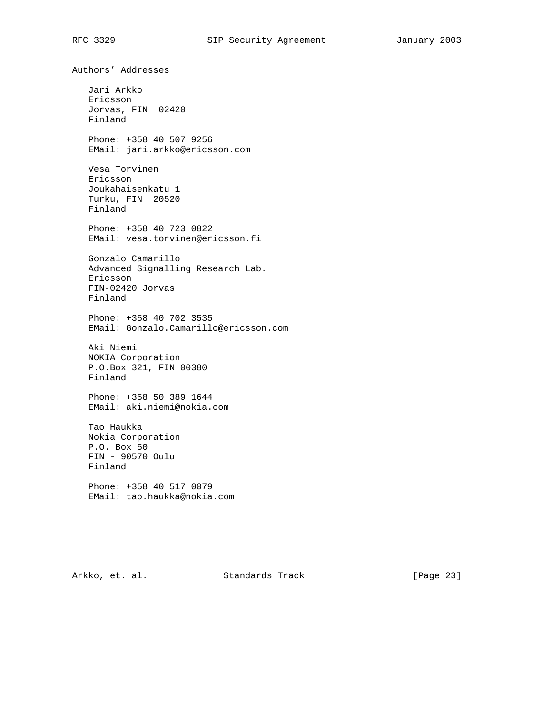Authors' Addresses Jari Arkko Ericsson Jorvas, FIN 02420 Finland Phone: +358 40 507 9256 EMail: jari.arkko@ericsson.com Vesa Torvinen Ericsson Joukahaisenkatu 1 Turku, FIN 20520 Finland Phone: +358 40 723 0822 EMail: vesa.torvinen@ericsson.fi Gonzalo Camarillo Advanced Signalling Research Lab. Ericsson FIN-02420 Jorvas Finland Phone: +358 40 702 3535 EMail: Gonzalo.Camarillo@ericsson.com Aki Niemi NOKIA Corporation P.O.Box 321, FIN 00380 Finland Phone: +358 50 389 1644 EMail: aki.niemi@nokia.com Tao Haukka Nokia Corporation P.O. Box 50 FIN - 90570 Oulu Finland Phone: +358 40 517 0079 EMail: tao.haukka@nokia.com

Arkko, et. al. Standards Track [Page 23]